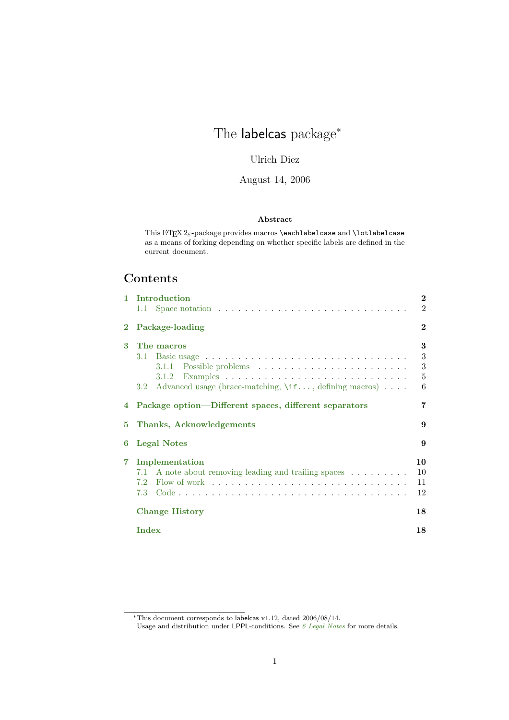# The labelcas package<sup>\*</sup>

## Ulrich Diez

August 14, 2006

### Abstract

This  $\mathbb{B}\mathrm{T}\mathrm{E}X$ 2 $\varepsilon$  -package provides macros **\eachlabelcase** and **\lotlabelcase** as a means of forking depending on whether specific labels are defined in the current document.

## Contents

| 1        | Introduction                                                                                      | $\bf{2}$       |
|----------|---------------------------------------------------------------------------------------------------|----------------|
|          |                                                                                                   | $\overline{2}$ |
| $\bf{2}$ | Package-loading                                                                                   | $\bf{2}$       |
| 3        | The macros                                                                                        | 3              |
|          | Basic usage $\ldots \ldots \ldots \ldots \ldots \ldots \ldots \ldots \ldots \ldots \ldots$<br>3.1 | $\sqrt{3}$     |
|          | 3.1.1                                                                                             | $\sqrt{3}$     |
|          | 3.1.2                                                                                             | $\bf 5$        |
|          | Advanced usage (brace-matching, $\iota$ if, defining macros)<br>3.2                               | 6              |
| 4        | Package option—Different spaces, different separators                                             | 7              |
| 5        | Thanks, Acknowledgements                                                                          | 9              |
| 6        | <b>Legal Notes</b><br>9                                                                           |                |
| 7        | Implementation                                                                                    | 10             |
|          | A note about removing leading and trailing spaces<br>7.1                                          | 10             |
|          | 7.2                                                                                               | 11             |
|          | 7.3                                                                                               | 12             |
|          | <b>Change History</b>                                                                             | 18             |
|          |                                                                                                   |                |

<sup>∗</sup>This document corresponds to labelcas v1.12, dated 2006/08/14.

Usage and distribution under LPPL-conditions. See [6 Legal Notes](#page-8-1) for more details.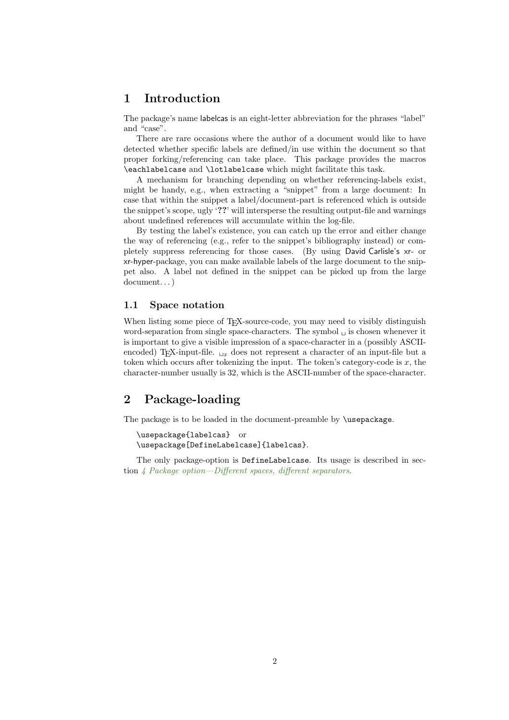## <span id="page-1-0"></span>1 Introduction

The package's name labelcas is an eight-letter abbreviation for the phrases "label" and "case".

There are rare occasions where the author of a document would like to have detected whether specific labels are defined/in use within the document so that proper forking/referencing can take place. This package provides the macros \eachlabelcase and \lotlabelcase which might facilitate this task.

A mechanism for branching depending on whether referencing-labels exist, might be handy, e.g., when extracting a "snippet" from a large document: In case that within the snippet a label/document-part is referenced which is outside the snippet's scope, ugly '??' will intersperse the resulting output-file and warnings about undefined references will accumulate within the log-file.

By testing the label's existence, you can catch up the error and either change the way of referencing (e.g., refer to the snippet's bibliography instead) or completely suppress referencing for those cases. (By using David Carlisle's xr- or xr-hyper-package, you can make available labels of the large document to the snippet also. A label not defined in the snippet can be picked up from the large document. . . )

### <span id="page-1-1"></span>1.1 Space notation

When listing some piece of TEX-source-code, you may need to visibly distinguish word-separation from single space-characters. The symbol  $\Box$  is chosen whenever it is important to give a visible impression of a space-character in a (possibly ASCIIencoded) T<sub>E</sub>X-input-file.  $\Box x$  does not represent a character of an input-file but a token which occurs after tokenizing the input. The token's category-code is  $x$ , the character-number usually is 32, which is the ASCII-number of the space-character.

## <span id="page-1-2"></span>2 Package-loading

The package is to be loaded in the document-preamble by \usepackage.

```
\usepackage{labelcas} or
\usepackage[DefineLabelcase]{labelcas}.
```
The only package-option is DefineLabelcase. Its usage is described in sec-tion [4 Package option—Different spaces, different separators](#page-6-0).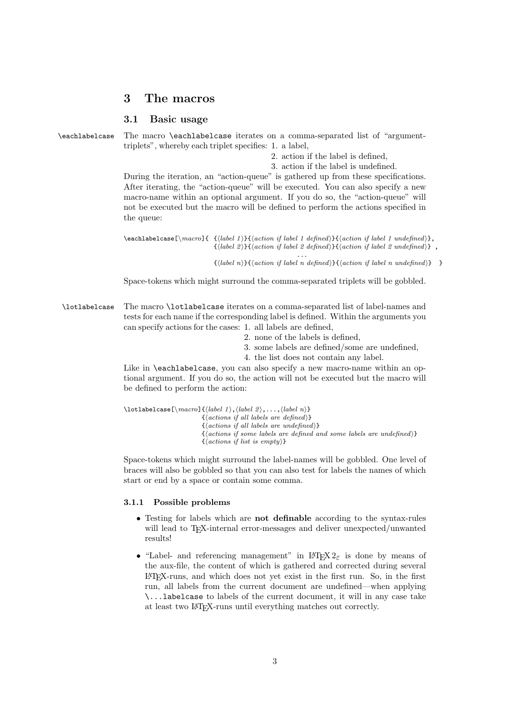### <span id="page-2-3"></span><span id="page-2-0"></span>3 The macros

#### <span id="page-2-1"></span>3.1 Basic usage

\eachlabelcase The macro \eachlabelcase iterates on a comma-separated list of "argumenttriplets", whereby each triplet specifies: 1. a label,

2. action if the label is defined,

3. action if the label is undefined.

During the iteration, an "action-queue" is gathered up from these specifications. After iterating, the "action-queue" will be executed. You can also specify a new macro-name within an optional argument. If you do so, the "action-queue" will not be executed but the macro will be defined to perform the actions specified in the queue:

 $\texttt{\} \texttt{a}$  \eachlabelcase [\macro]{  $\{ \label{a} \texttt{(a} \texttt{b} \}$  {\action if label 1 undefined)},  ${\{\langle label~2\rangle\}}{\{\langle action~if~label~2~defined\rangle\}}$ , ...

 ${\{\langle label \ n \rangle\}}{\{\langle action \ if \ label \ n \ defined \rangle\}}{\{\langle action \ if \ label \ n \ undefined \rangle\}} }$ 

Space-tokens which might surround the comma-separated triplets will be gobbled.

- \lotlabelcase The macro \lotlabelcase iterates on a comma-separated list of label-names and tests for each name if the corresponding label is defined. Within the arguments you can specify actions for the cases: 1. all labels are defined,
	- 2. none of the labels is defined,
	- 3. some labels are defined/some are undefined,
	- 4. the list does not contain any label.

Like in \eachlabelcase, you can also specify a new macro-name within an optional argument. If you do so, the action will not be executed but the macro will be defined to perform the action:

 $\ldots$ [\macro]{\label 1\,\label 2\,...,\label n\}  $\{\langle actions \text{ if all labels are defined} \rangle\}$  $\{ \langle actions \text{ if all labels are undefined} \rangle \}$  $\{\langle actions \text{ if some labels are defined and some labels are undefined}\rangle\}$  $\{\langle actions \text{ if } list \text{ is empty}\rangle\}$ 

Space-tokens which might surround the label-names will be gobbled. One level of braces will also be gobbled so that you can also test for labels the names of which start or end by a space or contain some comma.

#### <span id="page-2-2"></span>3.1.1 Possible problems

- Testing for labels which are not definable according to the syntax-rules will lead to T<sub>E</sub>X-internal error-messages and deliver unexpected/unwanted results!
- "Label- and referencing management" in  $\mathbb{F} \to \mathbb{F} \times \mathbb{Z}$  is done by means of the aux-file, the content of which is gathered and corrected during several LATEX-runs, and which does not yet exist in the first run. So, in the first run, all labels from the current document are undefined—when applying \...labelcase to labels of the current document, it will in any case take at least two LATEX-runs until everything matches out correctly.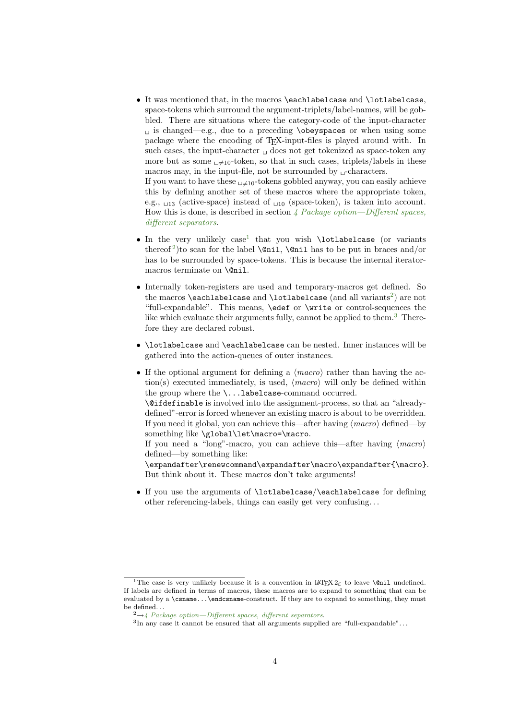• It was mentioned that, in the macros \eachlabelcase and \lotlabelcase, space-tokens which surround the argument-triplets/label-names, will be gobbled. There are situations where the category-code of the input-character  $\Box$  is changed—e.g., due to a preceding \obeyspaces or when using some package where the encoding of TEX-input-files is played around with. In such cases, the input-character  $\alpha$  does not get tokenized as space-token any more but as some  $\mu \neq 10$ -token, so that in such cases, triplets/labels in these macros may, in the input-file, not be surrounded by  $\Box$ -characters. If you want to have these  $\mu \neq 10$ -tokens gobbled anyway, you can easily achieve this by defining another set of these macros where the appropriate token,

e.g.,  $_{113}$  (active-space) instead of  $_{110}$  (space-token), is taken into account. How this is done, is described in section  $\frac{1}{4}$  Package option—Different spaces, [different separators](#page-6-0).

- $\bullet$  In the very unlikely case<sup>[1](#page-3-0)</sup> that you wish \lotlabelcase (or variants thereof<sup>[2](#page-3-1)</sup>)to scan for the label **\@nil**, **\@nil** has to be put in braces and/or has to be surrounded by space-tokens. This is because the internal iteratormacros terminate on **\@nil.**
- Internally token-registers are used and temporary-macros get defined. So the macros **\eachlabelcase** and **\lotlabelcase** (and all variants<sup>[2](#page-3-1)</sup>) are not "full-expandable". This means, \edef or \write or control-sequences the like which evaluate their arguments fully, cannot be applied to them.<sup>[3](#page-3-2)</sup> Therefore they are declared robust.
- \lotlabelcase and \eachlabelcase can be nested. Inner instances will be gathered into the action-queues of outer instances.
- If the optional argument for defining a  $\langle macro\rangle$  rather than having the action(s) executed immediately, is used,  $\langle macro\rangle$  will only be defined within the group where the \...labelcase-command occurred.

\@ifdefinable is involved into the assignment-process, so that an "alreadydefined"-error is forced whenever an existing macro is about to be overridden. If you need it global, you can achieve this—after having  $\langle macro \rangle$  defined—by something like \global\let\macro=\macro.

If you need a "long"-macro, you can achieve this—after having  $\langle macro\rangle$ defined—by something like:

\expandafter\renewcommand\expandafter\macro\expandafter{\macro}. But think about it. These macros don't take arguments!

• If you use the arguments of \lotlabelcase/\eachlabelcase for defining other referencing-labels, things can easily get very confusing. . .

<span id="page-3-0"></span><sup>&</sup>lt;sup>1</sup>The case is very unlikely because it is a convention in  $\text{LPTEX } 2\varepsilon$  to leave **\@nil** undefined. If labels are defined in terms of macros, these macros are to expand to something that can be evaluated by a \csname...\endcsname-construct. If they are to expand to something, they must be defined. . .

<span id="page-3-1"></span> $2\rightarrow 4$  Package option—Different spaces, different separators.

<span id="page-3-2"></span> ${}^{3}$ In any case it cannot be ensured that all arguments supplied are "full-expandable"...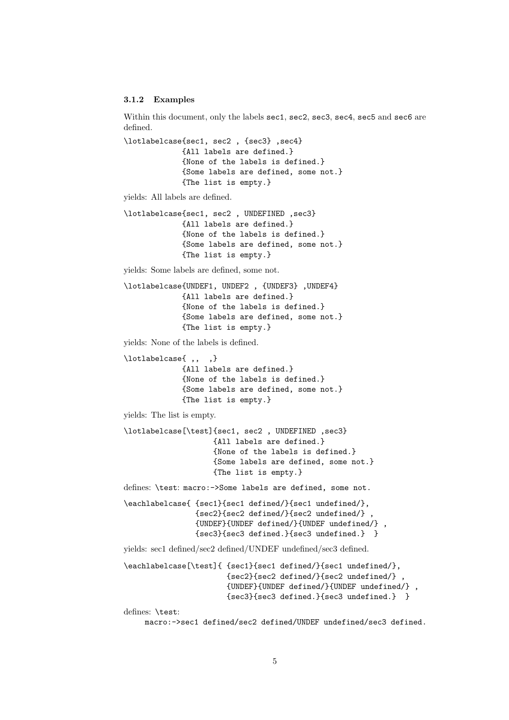#### <span id="page-4-0"></span>3.1.2 Examples

Within this document, only the labels sec1, sec2, sec3, sec4, sec5 and sec6 are defined.

\lotlabelcase{sec1, sec2 , {sec3} ,sec4} {All labels are defined.} {None of the labels is defined.} {Some labels are defined, some not.} {The list is empty.}

yields: All labels are defined.

\lotlabelcase{sec1, sec2 , UNDEFINED ,sec3} {All labels are defined.} {None of the labels is defined.} {Some labels are defined, some not.} {The list is empty.}

yields: Some labels are defined, some not.

```
\lotlabelcase{UNDEF1, UNDEF2, {UNDEF3}, UNDEF4}
             {All labels are defined.}
             {None of the labels is defined.}
             {Some labels are defined, some not.}
             {The list is empty.}
```
yields: None of the labels is defined.

```
\lotlabelcase{ ,, ,}
             {All labels are defined.}
             {None of the labels is defined.}
             {Some labels are defined, some not.}
            {The list is empty.}
```
yields: The list is empty.

\lotlabelcase[\test]{sec1, sec2 , UNDEFINED ,sec3} {All labels are defined.} {None of the labels is defined.} {Some labels are defined, some not.} {The list is empty.}

defines: \test: macro:->Some labels are defined, some not.

\eachlabelcase{ {sec1}{sec1 defined/}{sec1 undefined/}, {sec2}{sec2 defined/}{sec2 undefined/} , {UNDEF}{UNDEF defined/}{UNDEF undefined/} , {sec3}{sec3 defined.}{sec3 undefined.} }

yields: sec1 defined/sec2 defined/UNDEF undefined/sec3 defined.

\eachlabelcase[\test]{ {sec1}{sec1 defined/}{sec1 undefined/}, {sec2}{sec2 defined/}{sec2 undefined/} , {UNDEF}{UNDEF defined/}{UNDEF undefined/} , {sec3}{sec3 defined.}{sec3 undefined.} }

defines: \test:

macro:->sec1 defined/sec2 defined/UNDEF undefined/sec3 defined.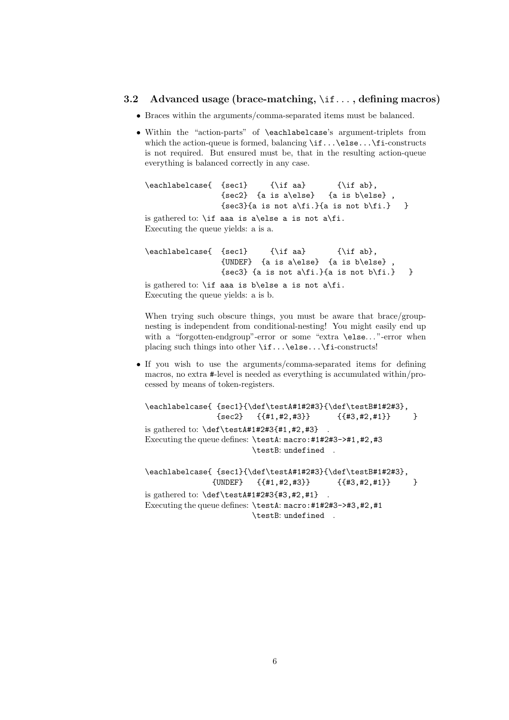### <span id="page-5-0"></span>3.2 Advanced usage (brace-matching,  $\iota$ if..., defining macros)

- Braces within the arguments/comma-separated items must be balanced.
- Within the "action-parts" of \eachlabelcase's argument-triplets from which the action-queue is formed, balancing  $\iota$ :.. $\epsilon$ ... $\iota$ :... $\iota$ :... is not required. But ensured must be, that in the resulting action-queue everything is balanced correctly in any case.

\eachlabelcase{ {sec1} {\if aa} {\if ab}, {sec2} {a is a\else} {a is b\else} ,  $\{sec3\}$ {a is not a\fi.}{a is not b\fi.} } is gathered to: \if aaa is a\else a is not a\fi. Executing the queue yields: a is a.  $\text{back} {\text{se}} \leftarrow {\text{set} {\text{a}} \leftarrow {\text{ab}},$ 

{sec3} {a is not a\fi.}{a is not b\fi.} } is gathered to: \if aaa is b\else a is not a\fi. Executing the queue yields: a is b.

When trying such obscure things, you must be aware that brace/groupnesting is independent from conditional-nesting! You might easily end up with a "forgotten-endgroup"-error or some "extra \else. . . "-error when placing such things into other \if...\else...\fi-constructs!

{UNDEF} {a is a\else} {a is b\else} ,

• If you wish to use the arguments/comma-separated items for defining macros, no extra #-level is needed as everything is accumulated within/processed by means of token-registers.

\eachlabelcase{ {sec1}{\def\testA#1#2#3}{\def\testB#1#2#3},  $\{sec2\}$   $\{\{\#1, \#2, \#3\}\}$   $\{\{\#3, \#2, \#1\}\}$  } is gathered to:  $\def\escript{\#1#2#3{#1, #2, #3}.$ Executing the queue defines: \testA: macro:#1#2#3->#1,#2,#3 \testB: undefined .

```
\eachlabelcase{ {sec1}{\def\testA#1#2#3}{\def\testB#1#2#3},
               {UNDEF} {{#1,#2,#3}} {{#3,#2,#1}} }
is gathered to: \def\esim2444442#3{#3, #2, #1}.
Executing the queue defines: \testA: macro:#1#2#3->#3,#2,#1
                        \testB: undefined .
```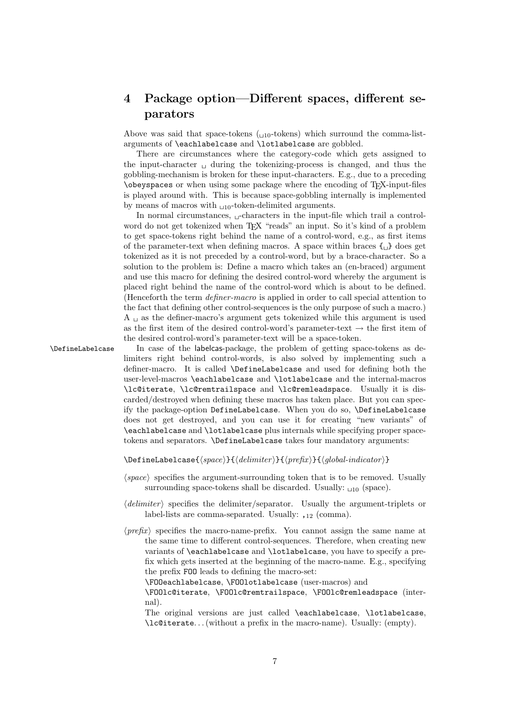## <span id="page-6-1"></span><span id="page-6-0"></span>4 Package option—Different spaces, different separators

Above was said that space-tokens  $(\mu_{10}$ -tokens) which surround the comma-listarguments of \eachlabelcase and \lotlabelcase are gobbled.

There are circumstances where the category-code which gets assigned to the input-character  $\Box$  during the tokenizing-process is changed, and thus the gobbling-mechanism is broken for these input-characters. E.g., due to a preceding \obeyspaces or when using some package where the encoding of TEX-input-files is played around with. This is because space-gobbling internally is implemented by means of macros with  $\Box$ 10-token-delimited arguments.

In normal circumstances,  $\Box$ -characters in the input-file which trail a controlword do not get tokenized when T<sub>EX</sub> "reads" an input. So it's kind of a problem to get space-tokens right behind the name of a control-word, e.g., as first items of the parameter-text when defining macros. A space within braces  $\{\underline{\ }$  does get tokenized as it is not preceded by a control-word, but by a brace-character. So a solution to the problem is: Define a macro which takes an (en-braced) argument and use this macro for defining the desired control-word whereby the argument is placed right behind the name of the control-word which is about to be defined. (Henceforth the term definer-macro is applied in order to call special attention to the fact that defining other control-sequences is the only purpose of such a macro.)  $A<sub>u</sub>$  as the definer-macro's argument gets tokenized while this argument is used as the first item of the desired control-word's parameter-text  $\rightarrow$  the first item of the desired control-word's parameter-text will be a space-token.

\DefineLabelcase In case of the labelcas-package, the problem of getting space-tokens as delimiters right behind control-words, is also solved by implementing such a definer-macro. It is called \DefineLabelcase and used for defining both the user-level-macros \eachlabelcase and \lotlabelcase and the internal-macros \lc@iterate, \lc@remtrailspace and \lc@remleadspace. Usually it is discarded/destroyed when defining these macros has taken place. But you can specify the package-option DefineLabelcase. When you do so, \DefineLabelcase does not get destroyed, and you can use it for creating "new variants" of \eachlabelcase and \lotlabelcase plus internals while specifying proper spacetokens and separators. \DefineLabelcase takes four mandatory arguments:

 $\Delta$ befineLabelcase{ $\langle space \rangle$ }{ $\langle delimeter \rangle$ }{ $\langle prefix \rangle$ }{ $\langle global-indication \rangle$ }

- $\langle space \rangle$  specifies the argument-surrounding token that is to be removed. Usually surrounding space-tokens shall be discarded. Usually:  $_{\sqcup 10}$  (space).
- $\langle$  delimiter  $\rangle$  specifies the delimiter/separator. Usually the argument-triplets or label-lists are comma-separated. Usually: , 12 (comma).
- $\langle prefix \rangle$  specifies the macro-name-prefix. You cannot assign the same name at the same time to different control-sequences. Therefore, when creating new variants of \eachlabelcase and \lotlabelcase, you have to specify a prefix which gets inserted at the beginning of the macro-name. E.g., specifying the prefix FOO leads to defining the macro-set:

\FOOeachlabelcase, \FOOlotlabelcase (user-macros) and

\FOOlc@iterate, \FOOlc@remtrailspace, \FOOlc@remleadspace (internal).

The original versions are just called \eachlabelcase, \lotlabelcase, \lc@iterate. . . (without a prefix in the macro-name). Usually: (empty).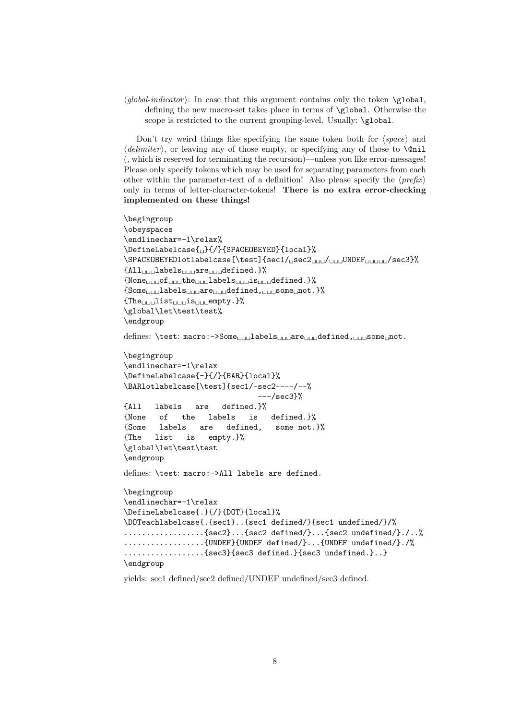$\langle \text{global-indication} \rangle$ : In case that this argument contains only the token \global, defining the new macro-set takes place in terms of \global. Otherwise the scope is restricted to the current grouping-level. Usually: \global.

Don't try weird things like specifying the same token both for  $\langle space \rangle$  and  $\langle$  delimiter), or leaving any of those empty, or specifying any of those to  $\alpha$ (, which is reserved for terminating the recursion)—unless you like error-messages! Please only specify tokens which may be used for separating parameters from each other within the parameter-text of a definition! Also please specify the  $\langle prefix \rangle$ only in terms of letter-character-tokens! There is no extra error-checking implemented on these things!

```
\begingroup
\obeyspaces
\endlinechar=-1\relax%
\DefineLabelcase{ }{/}{SPACEOBEYED}{local}%
\SPPACEOBEYED1otlabelcase[\text{sec1/1sec2} \quad UNDEF
[SPACEOBEYED1otlabelcase[\test]{sec1/\text{sec2}<sub>UUU</sub>/
UNDEF
{All_{\cup\cup\cup}label{eq:unir} \verb|label|s_{\cup\cup\cup}defined.}|{None_{\text{unif}} of_{\text{unif}} the_{\text{unif}} labels_{\text{unif}} is_{\text{unif}} defined. }{Some}_{\text{full}}labels_{\text{full}}are_{\text{full}}defined, _{\text{full}}some_{\text{full}}not.}%
{ \{ The_{\text{full}} list}_{\text{full}} is \text{full}empty.}%
\global\let\test\test%
\endgroup
defines: \test: macro:->Some_{\sqcup\sqcup\sqcup}labels_{\sqcup\sqcup\sqcup}are_{\sqcup\sqcup\sqcup}defined, _{\sqcup\sqcup\sqcup}some_{\sqcup}not.
\begingroup
\endlinechar=-1\relax
\DefineLabelcase{-}{/}{BAR}{local}%
\BARlotlabelcase[\test]{sec1/-sec2----/--%
                                        ---/sec3}%
{All labels are defined.}%
{None of the labels is defined.}%
{Some labels are defined, some not.}%<br>{The list is empty.}%
       list is empty.}%
\global\let\test\test
\endgroup
defines: \test: macro:->All labels are defined.
\begingroup
\endlinechar=-1\relax
\DefineLabelcase{.}{/}{DOT}{local}%
\DOTeachlabelcase{.{sec1}..{sec1 defined/}{sec1 undefined/}/%
..................{sec2}...{sec2 defined/}...{sec2 undefined/}./..%
..................{UNDEF}{UNDEF defined/}...{UNDEF undefined/}./%
..................{sec3}{sec3 defined.}{sec3 undefined.}..}
\endgroup
```
yields: sec1 defined/sec2 defined/UNDEF undefined/sec3 defined.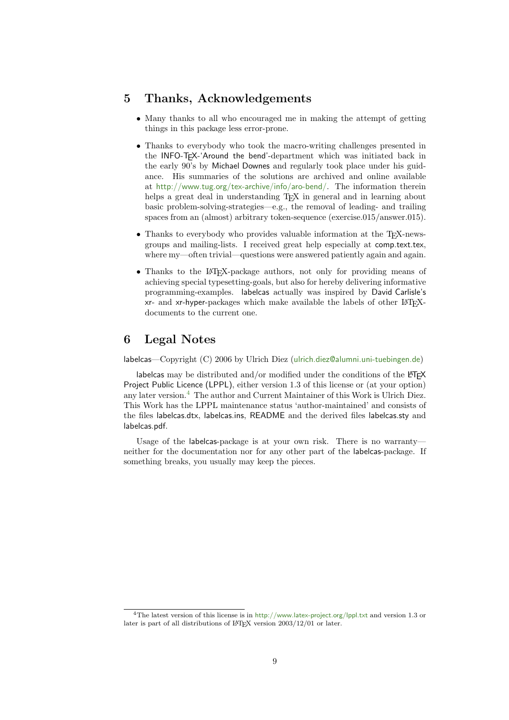## <span id="page-8-0"></span>5 Thanks, Acknowledgements

- Many thanks to all who encouraged me in making the attempt of getting things in this package less error-prone.
- Thanks to everybody who took the macro-writing challenges presented in the INFO-TEX-'Around the bend'-department which was initiated back in the early 90's by Michael Downes and regularly took place under his guidance. His summaries of the solutions are archived and online available at <http://www.tug.org/tex-archive/info/aro-bend/>. The information therein helps a great deal in understanding T<sub>E</sub>X in general and in learning about basic problem-solving-strategies—e.g., the removal of leading- and trailing spaces from an (almost) arbitrary token-sequence (exercise.015/answer.015).
- Thanks to everybody who provides valuable information at the T<sub>EX</sub>-newsgroups and mailing-lists. I received great help especially at comp.text.tex, where my—often trivial—questions were answered patiently again and again.
- Thanks to the LAT<sub>EX</sub>-package authors, not only for providing means of achieving special typesetting-goals, but also for hereby delivering informative programming-examples. labelcas actually was inspired by David Carlisle's xr- and xr-hyper-packages which make available the labels of other LAT<sub>EX</sub>documents to the current one.

### <span id="page-8-1"></span>6 Legal Notes

labelcas—Copyright (C) 2006 by Ulrich Diez ([ulrich.diez@alumni.uni-tuebingen.de](mailto:ulrich.diez@alumni.uni-tuebingen.de))

labelcas may be distributed and/or modified under the conditions of the  $\mathbb{P}$ F $\vdash$ Project Public Licence (LPPL), either version 1.3 of this license or (at your option) any later version.[4](#page-8-2) The author and Current Maintainer of this Work is Ulrich Diez. This Work has the LPPL maintenance status 'author-maintained' and consists of the files labelcas.dtx, labelcas.ins, README and the derived files labelcas.sty and labelcas.pdf.

Usage of the labelcas-package is at your own risk. There is no warrantyneither for the documentation nor for any other part of the labelcas-package. If something breaks, you usually may keep the pieces.

<span id="page-8-2"></span><sup>4</sup>The latest version of this license is in <http://www.latex-project.org/lppl.txt> and version 1.3 or later is part of all distributions of LAT<sub>EX</sub> version  $2003/12/01$  or later.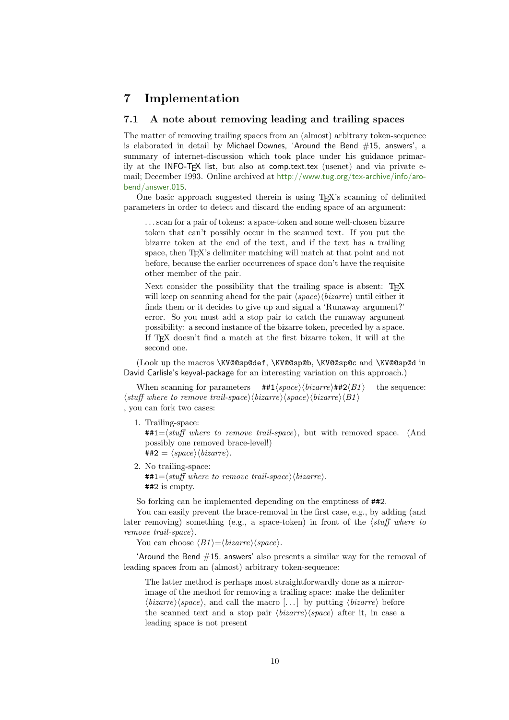## <span id="page-9-0"></span>7 Implementation

### <span id="page-9-1"></span>7.1 A note about removing leading and trailing spaces

The matter of removing trailing spaces from an (almost) arbitrary token-sequence is elaborated in detail by Michael Downes, 'Around the Bend #15, answers', a summary of internet-discussion which took place under his guidance primarily at the INFO-T<sub>F</sub>X list, but also at comp.text.tex (usenet) and via private email; December 1993. Online archived at [http://www.tug.org/tex-archive/info/aro](http://www.tug.org/tex-archive/info/aro-bend/answer.015)[bend/answer.015](http://www.tug.org/tex-archive/info/aro-bend/answer.015).

One basic approach suggested therein is using TEX's scanning of delimited parameters in order to detect and discard the ending space of an argument:

. . . scan for a pair of tokens: a space-token and some well-chosen bizarre token that can't possibly occur in the scanned text. If you put the bizarre token at the end of the text, and if the text has a trailing space, then T<sub>EX</sub>'s delimiter matching will match at that point and not before, because the earlier occurrences of space don't have the requisite other member of the pair.

Next consider the possibility that the trailing space is absent: T<sub>EX</sub> will keep on scanning ahead for the pair  $\langle space \rangle \langle bizarre$  until either it finds them or it decides to give up and signal a 'Runaway argument?' error. So you must add a stop pair to catch the runaway argument possibility: a second instance of the bizarre token, preceded by a space. If TEX doesn't find a match at the first bizarre token, it will at the second one.

(Look up the macros \KV@@sp@def, \KV@@sp@b, \KV@@sp@c and \KV@@sp@d in David Carlisle's keyval-package for an interesting variation on this approach.)

When scanning for parameters  $\#1\langle space \rangle \langle bizarre\rangle \#12\langle B1 \rangle$  the sequence:  $\langle$ stuff where to remove trail-space $\rangle$  $\langle bizarre \rangle$  $\langle space \rangle$  $\langle bizarre \rangle$  $\langle B1 \rangle$ , you can fork two cases:

1. Trailing-space:

 $\#1=\left\langle \text{stuff where to remove trail-space} \right\rangle$ , but with removed space. (And possibly one removed brace-level!)  $\#42 = \langle space \rangle \langle bizarre \rangle.$ 

2. No trailing-space:  $\#41=\langle \text{stuff where to remove trail-space} \rangle \langle \text{bizarre} \rangle.$ ##2 is empty.

So forking can be implemented depending on the emptiness of ##2.

You can easily prevent the brace-removal in the first case, e.g., by adding (and later removing) something (e.g., a space-token) in front of the  $\langle$ stuff where to remove trail-space).

You can choose  $\langle B1 \rangle = \langle bizarre \rangle \langle space \rangle$ .

'Around the Bend  $#15$ , answers' also presents a similar way for the removal of leading spaces from an (almost) arbitrary token-sequence:

The latter method is perhaps most straightforwardly done as a mirrorimage of the method for removing a trailing space: make the delimiter  $\langle bizarre \rangle$  (space), and call the macro [...] by putting  $\langle bizarre \rangle$  before the scanned text and a stop pair  $\langle bizarre \rangle$  (space) after it, in case a leading space is not present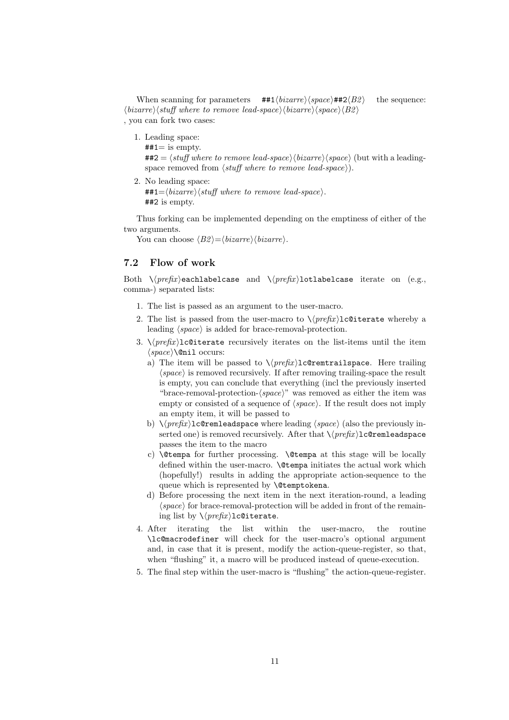<span id="page-10-1"></span>When scanning for parameters  $\#41\langle bizarre\rangle$  /space)  $\#42\langle B2\rangle$  the sequence:  $\langle bizarre \rangle \langle stuff \ where \ to \ remove \ lead-space \rangle \langle bizarre \rangle \langle space \rangle \langle B2 \rangle$ , you can fork two cases:

1. Leading space:

```
\texttt{#1}=\text{is empty.}
```
 $\#2 = \langle \textit{stuff where to remove lead-space} \rangle \langle \textit{bizarre} \rangle \langle \textit{space} \rangle$  (but with a leadingspace removed from  $\langle \textit{stuff} \textit{where to remove lead-space} \rangle$ .

2. No leading space:  $\#41=\langle bizarre\rangle\langle stuff\ where\ to\ remove\ lead-space\rangle.$ ##2 is empty.

Thus forking can be implemented depending on the emptiness of either of the two arguments.

You can choose  $\langle B2 \rangle = \langle bizarre \rangle \langle bizarre \rangle$ .

### <span id="page-10-0"></span>7.2 Flow of work

Both  $\{\text{prefix}\}$ eachlabelcase and  $\{\text{prefix}\}$ lotlabelcase iterate on (e.g., comma-) separated lists:

- 1. The list is passed as an argument to the user-macro.
- 2. The list is passed from the user-macro to  $\sqrt{prefix}/$ lc@iterate whereby a leading  $\langle space \rangle$  is added for brace-removal-protection.
- 3.  $\langle \langle prefix \rangle$  lc@iterate recursively iterates on the list-items until the item  $\langle space \rangle$ \@nil occurs:
	- a) The item will be passed to  $\langle \langle prefix \rangle$ lc@remtrailspace. Here trailing  $\langle space \rangle$  is removed recursively. If after removing trailing-space the result is empty, you can conclude that everything (incl the previously inserted "brace-removal-protection- $\langle space \rangle$ " was removed as either the item was empty or consisted of a sequence of  $\langle space \rangle$ . If the result does not imply an empty item, it will be passed to
	- b)  $\{\text{prefix}\}$  is  $\text{center}$  and  $\text{degree}\}$  (also the previously inserted one) is removed recursively. After that  $\langle \langle prefix \rangle$ lc@remleadspace passes the item to the macro
	- c) \@tempa for further processing. \@tempa at this stage will be locally defined within the user-macro. *\@tempa initiates the actual work which* (hopefully!) results in adding the appropriate action-sequence to the queue which is represented by \@temptokena.
	- d) Before processing the next item in the next iteration-round, a leading  $\langle space \rangle$  for brace-removal-protection will be added in front of the remaining list by  $\langle \langle prefix \rangle$ lc@iterate.
- 4. After iterating the list within the user-macro, the routine \lc@macrodefiner will check for the user-macro's optional argument and, in case that it is present, modify the action-queue-register, so that, when "flushing" it, a macro will be produced instead of queue-execution.
- 5. The final step within the user-macro is "flushing" the action-queue-register.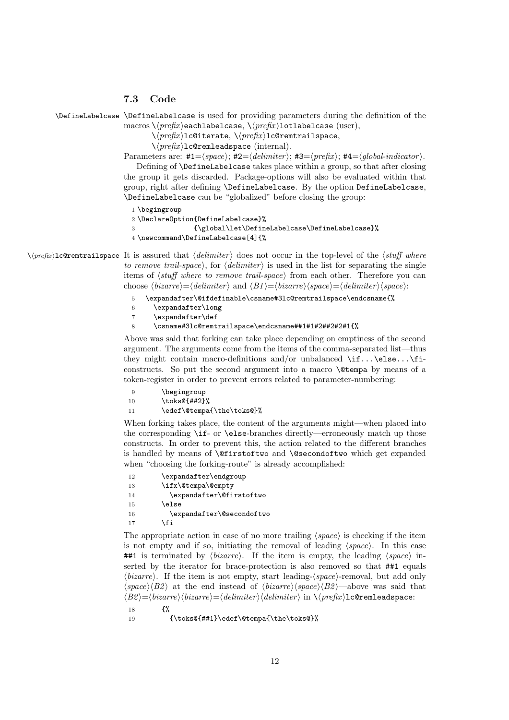### <span id="page-11-1"></span><span id="page-11-0"></span>7.3 Code

\DefineLabelcase \DefineLabelcase is used for providing parameters during the definition of the macros  $\langle \langle prefix \rangle$ eachlabelcase,  $\langle \langle prefix \rangle$ lotlabelcase (user),

 $\setminus \langle \mathit{prefix} \rangle$ lc@iterate,  $\setminus \langle \mathit{prefix} \rangle$ lc@remtrailspace,

 $\setminus$ (*prefix*)**lc@remleadspace** (internal).

Parameters are:  $\#1=\langle space \rangle$ ;  $\#2=\langle delimeter \rangle$ ;  $\#3=\langle prefix \rangle$ ;  $\#4=\langle global-indication \rangle$ .

Defining of \DefineLabelcase takes place within a group, so that after closing the group it gets discarded. Package-options will also be evaluated within that group, right after defining \DefineLabelcase. By the option DefineLabelcase, \DefineLabelcase can be "globalized" before closing the group:

<span id="page-11-7"></span>1 \begingroup

```
2 \DeclareOption{DefineLabelcase}%
```

```
3 {\global\let\DefineLabelcase\DefineLabelcase}%
```
4 \newcommand\DefineLabelcase[4]{%

 $\hbox{\tt \char'4}$ lc@remtrailspace It is assured that  $\hbox{\tt \char'4}$  does not occur in the top-level of the  $\hbox{\tt \char'4}$  where to remove trail-space), for  $\langle\text{delimiter}\rangle$  is used in the list for separating the single items of  $\langle$ *stuff where to remove trail-space* $\rangle$  from each other. Therefore you can choose  $\langle bizarre \rangle = \langle delimiter \rangle$  and  $\langle B1 \rangle = \langle bizarre \rangle$  (space)= $\langle delimiter \rangle$  (space):

- <span id="page-11-2"></span>5 \expandafter\@ifdefinable\csname#3lc@remtrailspace\endcsname{%
- 6 \expandafter\long
- 7 \expandafter\def

```
8 \csname#3lc@remtrailspace\endcsname##1#1#2##2#2#1{%
```
Above was said that forking can take place depending on emptiness of the second argument. The arguments come from the items of the comma-separated list—thus they might contain macro-definitions and/or unbalanced \if...\else...\ficonstructs. So put the second argument into a macro \@tempa by means of a token-register in order to prevent errors related to parameter-numbering:

<span id="page-11-4"></span>

| 9  | \begingroup               |
|----|---------------------------|
| 10 | $\text{toks@{##2}\%$      |
| 11 | \edef\@tempa{\the\toks@}% |

When forking takes place, the content of the arguments might—when placed into the corresponding \if- or \else-branches directly—erroneously match up those constructs. In order to prevent this, the action related to the different branches is handled by means of **\@firstoftwo** and **\@secondoftwo** which get expanded when "choosing the forking-route" is already accomplished:

```
12 \expandafter\endgroup
13 \ifx\@tempa\@empty
14 \expandafter\@firstoftwo
15 \else
16 \expandafter\@secondoftwo
17 \fi
```
The appropriate action in case of no more trailing  $\langle space \rangle$  is checking if the item is not empty and if so, initiating the removal of leading  $\langle space \rangle$ . In this case ##1 is terminated by  $\langle bizarre \rangle$ . If the item is empty, the leading  $\langle space \rangle$  inserted by the iterator for brace-protection is also removed so that ##1 equals  $\langle bizarre \rangle$ . If the item is not empty, start leading- $\langle space \rangle$ -removal, but add only  $\langle space \rangle \langle B2 \rangle$  at the end instead of  $\langle bizarre \rangle \langle space \rangle \langle B2 \rangle$ —above was said that  $\langle B2 \rangle = \langle bizarre \rangle \langle bizarre \rangle = \langle delimiter \rangle \langle delimiter \rangle$  in  $\langle prefix \rangle$ lc@remleadspace:

```
18
19 {\toks@{##1}\edef\@tempa{\the\toks@}%
```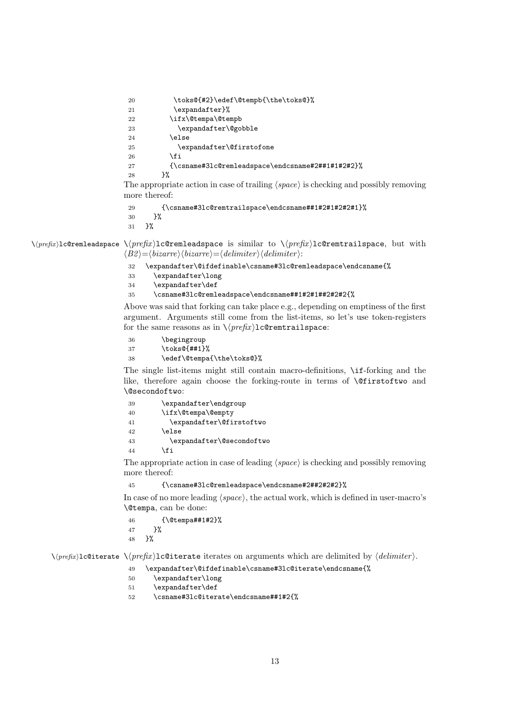<span id="page-12-12"></span><span id="page-12-8"></span><span id="page-12-0"></span>20 \toks@{#2}\edef\@tempb{\the\toks@}% 21 \expandafter}% 22 \ifx\@tempa\@tempb 23 \expandafter\@gobble  $24$   $\text{le}$ 25 \expandafter\@firstofone 26  $\overline{\text{1}}$ 27 {\csname#3lc@remleadspace\endcsname#2##1#1#2#2}% 28 }%

<span id="page-12-3"></span>The appropriate action in case of trailing  $\langle space \rangle$  is checking and possibly removing more thereof:

<span id="page-12-7"></span>29 {\csname#3lc@remtrailspace\endcsname##1#2#1#2#2#1}%

 $30 \frac{19}{2}$ 

31 }%

 $\hbar$  / $\phi$ refix)lc@remleadspace  $\hbar$  ilc@remleadspace is similar to  $\hbar$ / $\phi$ refix)lc@remtrailspace, but with  $\langle B2 \rangle = \langle bizarre \rangle \langle bizarre \rangle = \langle delimiter \rangle \langle delimiter \rangle$ :

- <span id="page-12-4"></span>32 \expandafter\@ifdefinable\csname#3lc@remleadspace\endcsname{%
- 33 \expandafter\long
- 34 \expandafter\def
- <span id="page-12-5"></span>35 \csname#3lc@remleadspace\endcsname##1#2#1##2#2#2{%

Above was said that forking can take place e.g., depending on emptiness of the first argument. Arguments still come from the list-items, so let's use token-registers for the same reasons as in  $\langle \langle prefix \rangle$ lc@remtrailspace:

- 36 \begingroup
- 37 \toks@{##1}%
- <span id="page-12-9"></span>38 \edef\@tempa{\the\toks@}%

The single list-items might still contain macro-definitions, \if-forking and the like, therefore again choose the forking-route in terms of \@firstoftwo and \@secondoftwo:

<span id="page-12-10"></span>

| 39 | \expandafter\endgroup     |  |
|----|---------------------------|--|
| 40 | \ifx\@tempa\@empty        |  |
| 41 | \expandafter\@firstoftwo  |  |
| 42 | \else                     |  |
| 43 | \expandafter\@secondoftwo |  |
| 44 | \fi                       |  |

The appropriate action in case of leading  $\langle space \rangle$  is checking and possibly removing more thereof:

```
45 {\csname#3lc@remleadspace\endcsname#2##2#2#2}%
```
In case of no more leading  $\langle space \rangle$ , the actual work, which is defined in user-macro's \@tempa, can be done:

```
46 {\@tempa##1#2}%
```
- 47 }%
- 48 }%

 $\hbar p$  is interate  $\hbar p$  is interated iterates on arguments which are delimited by  $\hbar p$  interfact.

```
49 \expandafter\@ifdefinable\csname#3lc@iterate\endcsname{%
```
- 50 \expandafter\long
- 51 \expandafter\def
- <span id="page-12-2"></span>52 \csname#3lc@iterate\endcsname##1#2{%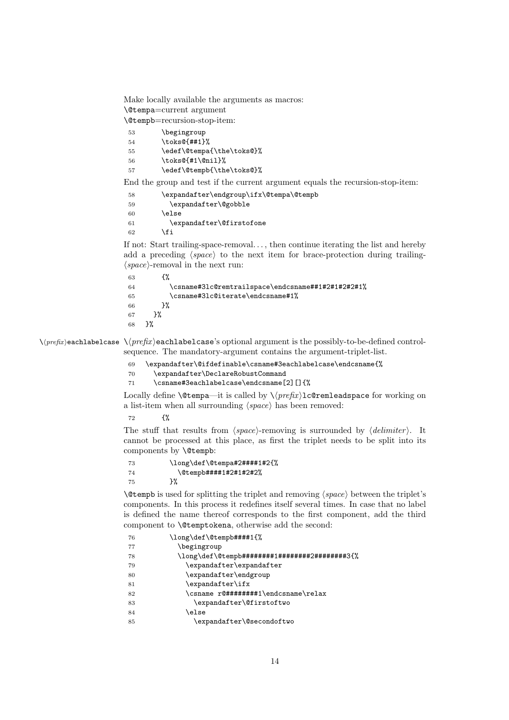<span id="page-13-0"></span>Make locally available the arguments as macros:

```
\@tempa=current argument
```
\@tempb=recursion-stop-item:

<span id="page-13-5"></span>

| 53 | \begingroup               |
|----|---------------------------|
| 54 | \toks@{##1}%              |
| 55 | \edef\@tempa{\the\toks@}% |
| 56 | \toks@f#1\@nil}%          |
| 57 | \edef\@tempb{\the\toks@}% |

<span id="page-13-8"></span>End the group and test if the current argument equals the recursion-stop-item:

<span id="page-13-6"></span>

| 58 | \expandafter\endgroup\ifx\@tempa\@tempb |
|----|-----------------------------------------|
| 59 | \expandafter\@gobble                    |
| 60 | \else                                   |
| 61 | \expandafter\@firstofone                |
| 62 | fi                                      |

If not: Start trailing-space-removal. . . , then continue iterating the list and hereby add a preceding  $\langle space \rangle$  to the next item for brace-protection during trailing- $\langle space \rangle$ -removal in the next run:

<span id="page-13-4"></span><span id="page-13-3"></span>

| 63 |    |                                                   |
|----|----|---------------------------------------------------|
| 64 |    | \csname#31c@remtrailspace\endcsname##1#2#1#2#2#1% |
| 65 |    | \csname#31c@iterate\endcsname#1%                  |
| 66 | ጉ% |                                                   |
| 67 |    |                                                   |
| 68 |    |                                                   |

 $\hbar p$ eachlabelcase  $\hbar p$ eachlabelcase's optional argument is the possibly-to-be-defined controlsequence. The mandatory-argument contains the argument-triplet-list.

```
69 \expandafter\@ifdefinable\csname#3eachlabelcase\endcsname{%
70 \expandafter\DeclareRobustCommand
```

```
71 \csname#3eachlabelcase\endcsname[2][]{%
```
Locally define  $\text{Setempa}$ —it is called by  $\langle \text{prefix} \rangle$ lc@remleadspace for working on a list-item when all surrounding  $\langle space \rangle$  has been removed:

{%

The stuff that results from  $\langle space \rangle$ -removing is surrounded by  $\langle\text{delimiter} \rangle$ . It cannot be processed at this place, as first the triplet needs to be split into its components by \@tempb:

<span id="page-13-9"></span><span id="page-13-7"></span>

| -73 | \long\def\@tempa#2####1#2{% |
|-----|-----------------------------|
| 74  | \@tempb####1#2#1#2#2%       |
| -75 | ን%                          |

 $\text{Uetempb}$  is used for splitting the triplet and removing  $\langle space \rangle$  between the triplet's components. In this process it redefines itself several times. In case that no label is defined the name thereof corresponds to the first component, add the third component to \@temptokena, otherwise add the second:

<span id="page-13-11"></span><span id="page-13-10"></span>

| 76 | \long\def\@tempb####1{%                       |
|----|-----------------------------------------------|
| 77 | \begingroup                                   |
| 78 | \long\def\@tempb########1########2########3{% |
| 79 | \expandafter\expandafter                      |
| 80 | \expandafter\endgroup                         |
| 81 | \expandafter\ifx                              |
| 82 | \csname r@########1\endcsname\relax           |
| 83 | \expandafter\@firstoftwo                      |
| 84 | \else                                         |
| 85 | \expandafter\@secondoftwo                     |
|    |                                               |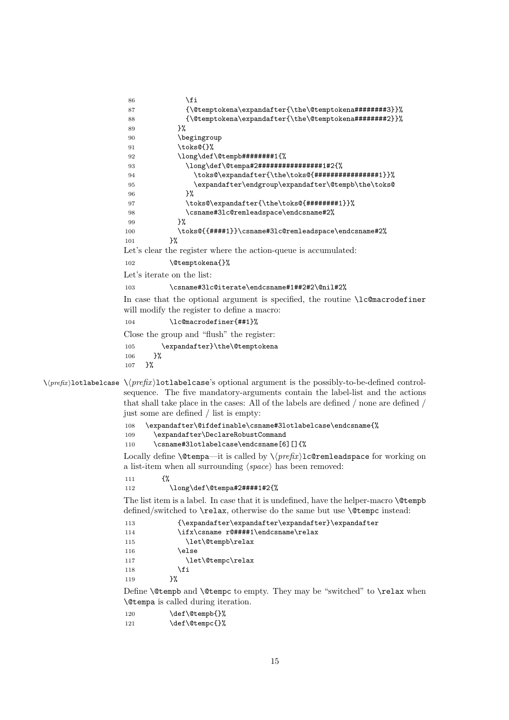<span id="page-14-14"></span><span id="page-14-13"></span><span id="page-14-12"></span><span id="page-14-11"></span><span id="page-14-10"></span><span id="page-14-9"></span><span id="page-14-8"></span><span id="page-14-7"></span><span id="page-14-6"></span><span id="page-14-5"></span><span id="page-14-4"></span><span id="page-14-3"></span><span id="page-14-2"></span><span id="page-14-1"></span><span id="page-14-0"></span>

| \fi<br>86                                                                                                                                                  |
|------------------------------------------------------------------------------------------------------------------------------------------------------------|
| {\@temptokena\expandafter{\the\@temptokena########3}}%<br>87                                                                                               |
| {\@temptokena\expandafter{\the\@temptokena########2}}%<br>88                                                                                               |
| }%<br>89                                                                                                                                                   |
| \begingroup<br>90                                                                                                                                          |
| \toks@{}%<br>91                                                                                                                                            |
| \long\def\@tempb#########1{%<br>92                                                                                                                         |
| \long\def\@tempa#2################1#2{%<br>93                                                                                                              |
| \toks@\expandafter{\the\toks@{################1}}%<br>94                                                                                                   |
| \expandafter\endgroup\expandafter\@tempb\the\toks@<br>95<br>}%                                                                                             |
| 96<br>\toks@\expandafter{\the\toks@{########1}}%<br>97                                                                                                     |
| \csname#31c@remleadspace\endcsname#2%<br>98                                                                                                                |
| }%<br>99                                                                                                                                                   |
| \toks@{{####1}}\csname#31c@remleadspace\endcsname#2%<br>100                                                                                                |
| $\frac{1}{2}$ %<br>101                                                                                                                                     |
| Let's clear the register where the action-queue is accumulated:                                                                                            |
| \@temptokena{}%<br>102                                                                                                                                     |
| Let's iterate on the list:                                                                                                                                 |
| \csname#31c@iterate\endcsname#1##2#2\@nil#2%<br>103                                                                                                        |
|                                                                                                                                                            |
| In case that the optional argument is specified, the routine \locemacrodefiner                                                                             |
| will modify the register to define a macro:                                                                                                                |
| \lc@macrodefiner{##1}%<br>104                                                                                                                              |
| Close the group and "flush" the register:                                                                                                                  |
| \expandafter}\the\@temptokena<br>105                                                                                                                       |
| }%<br>106                                                                                                                                                  |
| }%<br>107                                                                                                                                                  |
| $\setminus \langle prefix \rangle$ lotlabelcase $\setminus \langle prefix \rangle$ lotlabelcase's optional argument is the possibly-to-be-defined control- |
| sequence. The five mandatory-arguments contain the label-list and the actions                                                                              |
| that shall take place in the cases: All of the labels are defined $/$ none are defined $/$                                                                 |
| just some are defined / list is empty:                                                                                                                     |
|                                                                                                                                                            |
| \expandafter\@ifdefinable\csname#3lotlabelcase\endcsname{%<br>108<br>\expandafter\DeclareRobustCommand<br>109                                              |
| \csname#31ot1abe1case\endcsname[6][]{%<br>110                                                                                                              |
|                                                                                                                                                            |
| Locally define $\setminus$ tempa—it is called by $\setminus \langle prefix \rangle$ lc Cremleadspace for working on                                        |
| a list-item when all surrounding $\langle space \rangle$ has been removed:                                                                                 |
| ₹%<br>111                                                                                                                                                  |
| \long\def\@tempa#2####1#2{%<br>112                                                                                                                         |
| The list item is a label. In case that it is undefined, have the helper-macro <b>\@tempb</b>                                                               |
|                                                                                                                                                            |
| defined/switched to <b>\relax</b> , otherwise do the same but use <b>\@tempc</b> instead:                                                                  |
| {\expandafter\expandafter\expandafter}\expandafter<br>113                                                                                                  |
| \ifx\csname r@####1\endcsname\relax<br>114                                                                                                                 |
| \let\@tempb\relax<br>115                                                                                                                                   |
| \else<br>116                                                                                                                                               |
| \let\@tempc\relax<br>117                                                                                                                                   |
| \fi<br>118                                                                                                                                                 |
| }‰<br>119                                                                                                                                                  |
| Define <i>\@tempb</i> and <i>\@tempc</i> to empty. They may be "switched" to <i>\relax</i> when                                                            |
| <b>\@tempa</b> is called during iteration.                                                                                                                 |
| \def\@tempb{}%<br>120                                                                                                                                      |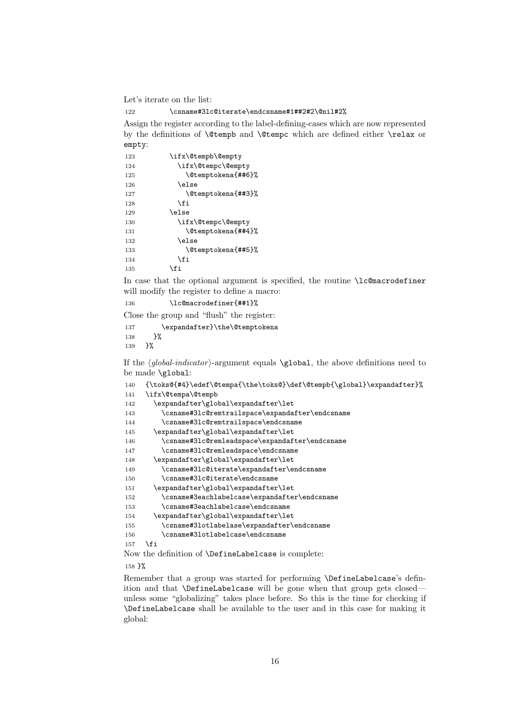Let's iterate on the list:

#### <span id="page-15-2"></span>122 \csname#3lc@iterate\endcsname#1##2#2\@nil#2%

Assign the register according to the label-defining-cases which are now represented by the definitions of \@tempb and \@tempc which are defined either \relax or empty:

<span id="page-15-15"></span><span id="page-15-14"></span><span id="page-15-13"></span>

| 123 | \ifx\@tempb\@empty |
|-----|--------------------|
| 124 | \ifx\@tempc\@empty |
| 125 | \@temptokena{##6}% |
| 126 | \else              |
| 127 | \@temptokena{##3}% |
| 128 | \fi                |
| 129 | \else              |
| 130 | \ifx\@tempc\@empty |
| 131 | \@temptokena{##4}% |
| 132 | \else              |
| 133 | \@temptokena{##5}% |
| 134 | \fi                |
| 135 | fi                 |

In case that the optional argument is specified, the routine \lc@macrodefiner will modify the register to define a macro:

<span id="page-15-16"></span>136 \lc@macrodefiner{##1}%

Close the group and "flush" the register:

```
137 \expandafter}\the\@temptokena
138 }%
139 }%
```
If the  $\langle global-indication \rangle$ -argument equals  $\lambda$ global, the above definitions need to be made  $\gtrsim 140$   $\qtrsim 120$   $\qtrsim 140$ 

<span id="page-15-12"></span><span id="page-15-11"></span><span id="page-15-8"></span><span id="page-15-7"></span><span id="page-15-6"></span><span id="page-15-5"></span><span id="page-15-4"></span><span id="page-15-3"></span>

| 140        | {\toks@{#4}\edef\@tempa{\the\toks@}\def\@tempb{\global}\expandafter}% |
|------------|-----------------------------------------------------------------------|
| 141        | \ifx\@tempa\@tempb                                                    |
| 142        | \expandafter\global\expandafter\let                                   |
| 143        | \csname#31c@remtrailspace\expandafter\endcsname                       |
| 144        | \csname#31c@remtrailspace\endcsname                                   |
| 145        | \expandafter\global\expandafter\let                                   |
| 146        | \csname#31c@remleadspace\expandafter\endcsname                        |
| 147        | \csname#31c@remleadspace\endcsname                                    |
| 148        | \expandafter\global\expandafter\let                                   |
| 149        | \csname#31c@iterate\expandafter\endcsname                             |
| 150        | \csname#31c@iterate\endcsname                                         |
| 151        | \expandafter\global\expandafter\let                                   |
| 152        | \csname#3eachlabelcase\expandafter\endcsname                          |
| 153        | \csname#3eachlabelcase\endcsname                                      |
| 154        | \expandafter\global\expandafter\let                                   |
| 155        | \csname#31ot1abe1ase\expandafter\endcsname                            |
| 156        | \csname#31ot1abe1case\endcsname                                       |
| 157        | <b>\fi</b>                                                            |
|            | Now the definition of <b>\DefineLabelcase</b> is complete:            |
| $158 \}$ % |                                                                       |
|            |                                                                       |

<span id="page-15-10"></span><span id="page-15-9"></span><span id="page-15-1"></span><span id="page-15-0"></span>Remember that a group was started for performing \DefineLabelcase's definition and that \DefineLabelcase will be gone when that group gets closed unless some "globalizing" takes place before. So this is the time for checking if \DefineLabelcase shall be available to the user and in this case for making it global: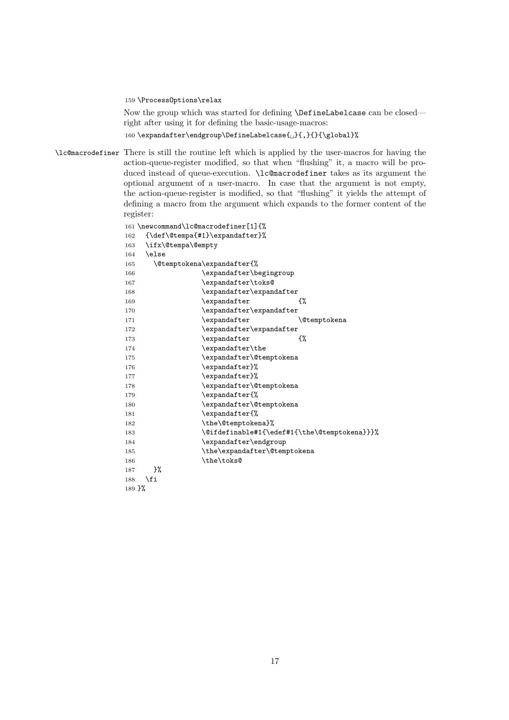<span id="page-16-0"></span>159 \ProcessOptions\relax

<span id="page-16-3"></span>Now the group which was started for defining \DefineLabelcase can be closed right after using it for defining the basic-usage-macros: 160 \expandafter\endgroup\DefineLabelcase{ ${}_{\iota}$ }{,}{}{\global}%

\lc@macrodefiner There is still the routine left which is applied by the user-macros for having the action-queue-register modified, so that when "flushing" it, a macro will be produced instead of queue-execution. \lc@macrodefiner takes as its argument the optional argument of a user-macro. In case that the argument is not empty, the action-queue-register is modified, so that "flushing" it yields the attempt of defining a macro from the argument which expands to the former content of the register:

```
161 \newcommand\lc@macrodefiner[1]{%
162 {\def\@tempa{#1}\expandafter}%
163 \ifx\@tempa\@empty
164 \else
165 \@temptokena\expandafter{%
166 \expandafter\begingroup
167 \expandafter\toks@
168 \expandafter\expandafter
169 \expandafter {%
170 \expandafter\expandafter
171 \expandafter \@temptokena
172 \expandafter\expandafter
173 \expandafter {%
174 \expandafter\the
175 \expandafter\@temptokena
176 \expandafter}%
177 \expandafter}%
178 \expandafter\@temptokena
179 \expandafter{%
180 \expandafter\@temptokena
181 \expandafter{%
182 \the\@temptokena}%
183 \@ifdefinable#1{\edef#1{\the\@temptokena}}}%
184 \expandafter\endgroup
185 \the\expandafter\@temptokena
186 \the\toks@
187 }%
188 \fi
189 }%
```